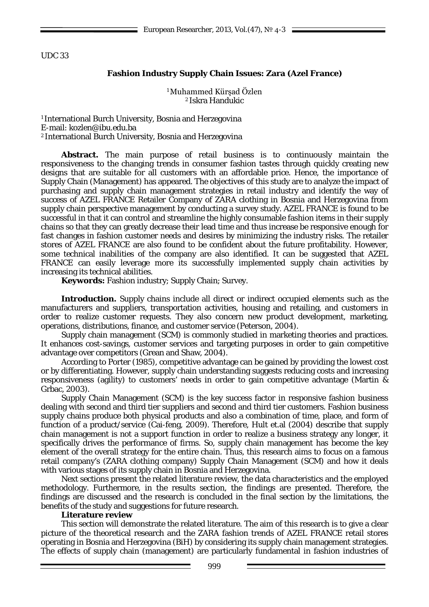UDC 33

# **Fashion Industry Supply Chain Issues: Zara (Azel France)**

<sup>1</sup>Muhammed Kürşad Özlen 2 Iskra Handukic

1 International Burch University, Bosnia and Herzegovina E-mail: [kozlen@ibu.edu.ba](mailto:kozlen@ibu.edu.ba) 2 International Burch University, Bosnia and Herzegovina

**Abstract.** The main purpose of retail business is to continuously maintain the responsiveness to the changing trends in consumer fashion tastes through quickly creating new designs that are suitable for all customers with an affordable price. Hence, the importance of Supply Chain (Management) has appeared. The objectives of this study are to analyze the impact of purchasing and supply chain management strategies in retail industry and identify the way of success of AZEL FRANCE Retailer Company of ZARA clothing in Bosnia and Herzegovina from supply chain perspective management by conducting a survey study. AZEL FRANCE is found to be successful in that it can control and streamline the highly consumable fashion items in their supply chains so that they can greatly decrease their lead time and thus increase be responsive enough for fast changes in fashion customer needs and desires by minimizing the industry risks. The retailer stores of AZEL FRANCE are also found to be confident about the future profitability. However, some technical inabilities of the company are also identified. It can be suggested that AZEL FRANCE can easily leverage more its successfully implemented supply chain activities by increasing its technical abilities.

**Keywords:** Fashion industry; Supply Chain; Survey.

**Introduction.** Supply chains include all direct or indirect occupied elements such as the manufacturers and suppliers, transportation activities, housing and retailing, and customers in order to realize customer requests. They also concern new product development, marketing, operations, distributions, finance, and customer service (Peterson, 2004).

Supply chain management (SCM) is commonly studied in marketing theories and practices. It enhances cost-savings, customer services and targeting purposes in order to gain competitive advantage over competitors (Grean and Shaw, 2004).

According to Porter (1985), competitive advantage can be gained by providing the lowest cost or by differentiating. However, supply chain understanding suggests reducing costs and increasing responsiveness (agility) to customers' needs in order to gain competitive advantage (Martin & Grbac, 2003).

Supply Chain Management (SCM) is the key success factor in responsive fashion business dealing with second and third tier suppliers and second and third tier customers. Fashion business supply chains produce both physical products and also a combination of time, place, and form of function of a product/service (Cai-feng, 2009). Therefore, Hult et.al (2004) describe that supply chain management is not a support function in order to realize a business strategy any longer, it specifically drives the performance of firms. So, supply chain management has become the key element of the overall strategy for the entire chain. Thus, this research aims to focus on a famous retail company's (ZARA clothing company) Supply Chain Management (SCM) and how it deals with various stages of its supply chain in Bosnia and Herzegovina.

Next sections present the related literature review, the data characteristics and the employed methodology. Furthermore, in the results section, the findings are presented. Therefore, the findings are discussed and the research is concluded in the final section by the limitations, the benefits of the study and suggestions for future research.

## **Literature review**

This section will demonstrate the related literature. The aim of this research is to give a clear picture of the theoretical research and the ZARA fashion trends of AZEL FRANCE retail stores operating in Bosnia and Herzegovina (BiH) by considering its supply chain management strategies. The effects of supply chain (management) are particularly fundamental in fashion industries of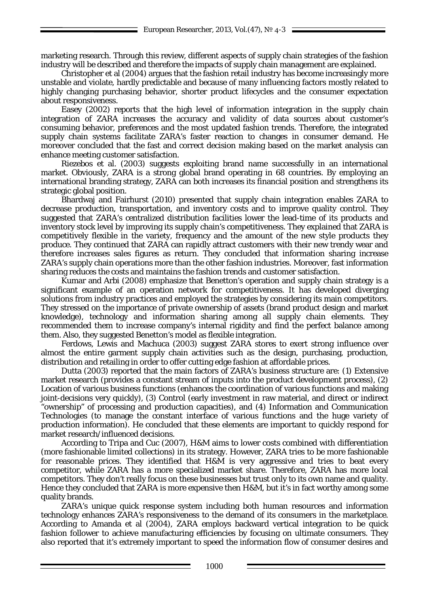marketing research. Through this review, different aspects of supply chain strategies of the fashion industry will be described and therefore the impacts of supply chain management are explained.

Christopher et al (2004) argues that the fashion retail industry has become increasingly more unstable and violate, hardly predictable and because of many influencing factors mostly related to highly changing purchasing behavior, shorter product lifecycles and the consumer expectation about responsiveness.

Easey (2002) reports that the high level of information integration in the supply chain integration of ZARA increases the accuracy and validity of data sources about customer's consuming behavior, preferences and the most updated fashion trends. Therefore, the integrated supply chain systems facilitate ZARA's faster reaction to changes in consumer demand. He moreover concluded that the fast and correct decision making based on the market analysis can enhance meeting customer satisfaction.

Riezebos et al. (2003) suggests exploiting brand name successfully in an international market. Obviously, ZARA is a strong global brand operating in 68 countries. By employing an international branding strategy, ZARA can both increases its financial position and strengthens its strategic global position.

Bhardwaj and Fairhurst (2010) presented that supply chain integration enables ZARA to decrease production, transportation, and inventory costs and to improve quality control. They suggested that ZARA's centralized distribution facilities lower the lead-time of its products and inventory stock level by improving its supply chain's competitiveness. They explained that ZARA is competitively flexible in the variety, frequency and the amount of the new style products they produce. They continued that ZARA can rapidly attract customers with their new trendy wear and therefore increases sales figures as return. They concluded that information sharing increase ZARA's supply chain operations more than the other fashion industries. Moreover, fast information sharing reduces the costs and maintains the fashion trends and customer satisfaction.

Kumar and Arbi (2008) emphasize that Benetton's operation and supply chain strategy is a significant example of an operation network for competitiveness. It has developed diverging solutions from industry practices and employed the strategies by considering its main competitors. They stressed on the importance of private ownership of assets (brand product design and market knowledge), technology and information sharing among all supply chain elements. They recommended them to increase company's internal rigidity and find the perfect balance among them. Also, they suggested Benetton's model as flexible integration.

Ferdows, Lewis and Machuca (2003) suggest ZARA stores to exert strong influence over almost the entire garment supply chain activities such as the design, purchasing, production, distribution and retailing in order to offer cutting edge fashion at affordable prices.

Dutta (2003) reported that the main factors of ZARA's business structure are: (1) Extensive market research (provides a constant stream of inputs into the product development process), (2) Location of various business functions (enhances the coordination of various functions and making joint-decisions very quickly), (3) Control (early investment in raw material, and direct or indirect "ownership" of processing and production capacities), and (4) Information and Communication Technologies (to manage the constant interface of various functions and the huge variety of production information). He concluded that these elements are important to quickly respond for market research/influenced decisions.

According to Tripa and Cuc (2007), H&M aims to lower costs combined with differentiation (more fashionable limited collections) in its strategy. However, ZARA tries to be more fashionable for reasonable prices. They identified that  $H&M$  is very aggressive and tries to beat every competitor, while ZARA has a more specialized market share. Therefore, ZARA has more local competitors. They don't really focus on these businesses but trust only to its own name and quality. Hence they concluded that ZARA is more expensive then H&M, but it's in fact worthy among some quality brands.

ZARA's unique quick response system including both human resources and information technology enhances ZARA's responsiveness to the demand of its consumers in the marketplace. According to Amanda et al (2004), ZARA employs backward vertical integration to be quick fashion follower to achieve manufacturing efficiencies by focusing on ultimate consumers. They also reported that it's extremely important to speed the information flow of consumer desires and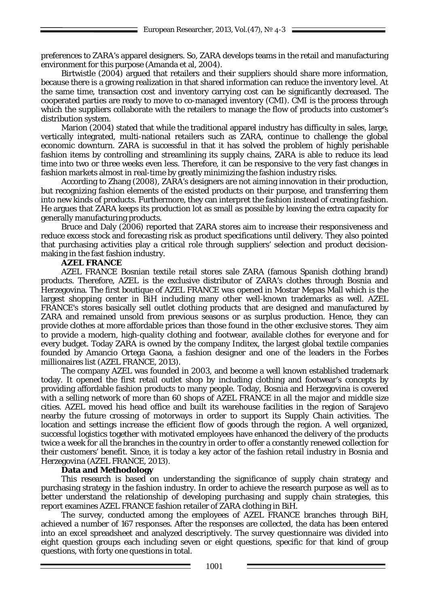preferences to ZARA's apparel designers. So, ZARA develops teams in the retail and manufacturing environment for this purpose (Amanda et al, 2004).

Birtwistle (2004) argued that retailers and their suppliers should share more information, because there is a growing realization in that shared information can reduce the inventory level. At the same time, transaction cost and inventory carrying cost can be significantly decreased. The cooperated parties are ready to move to co-managed inventory (CMI). CMI is the process through which the suppliers collaborate with the retailers to manage the flow of products into customer's distribution system.

Marion (2004) stated that while the traditional apparel industry has difficulty in sales, large, vertically integrated, multi-national retailers such as ZARA, continue to challenge the global economic downturn. ZARA is successful in that it has solved the problem of highly perishable fashion items by controlling and streamlining its supply chains, ZARA is able to reduce its lead time into two or three weeks even less. Therefore, it can be responsive to the very fast changes in fashion markets almost in real-time by greatly minimizing the fashion industry risks.

According to Zhang (2008), ZARA's designers are not aiming innovation in their production, but recognizing fashion elements of the existed products on their purpose, and transferring them into new kinds of products. Furthermore, they can interpret the fashion instead of creating fashion. He argues that ZARA keeps its production lot as small as possible by leaving the extra capacity for generally manufacturing products.

Bruce and Daly (2006) reported that ZARA stores aim to increase their responsiveness and reduce excess stock and forecasting risk as product specifications until delivery. They also pointed that purchasing activities play a critical role through suppliers' selection and product decisionmaking in the fast fashion industry.

## **AZEL FRANCE**

AZEL FRANCE Bosnian textile retail stores sale ZARA (famous Spanish clothing brand) products. Therefore, AZEL is the exclusive distributor of ZARA's clothes through Bosnia and Herzegovina. The first boutique of AZEL FRANCE was opened in Mostar Mepas Mall which is the largest shopping center in BiH including many other well-known trademarks as well. AZEL FRANCE's stores basically sell outlet clothing products that are designed and manufactured by ZARA and remained unsold from previous seasons or as surplus production. Hence, they can provide clothes at more affordable prices than those found in the other exclusive stores. They aim to provide a modern, high-quality clothing and footwear, available clothes for everyone and for every budget. Today ZARA is owned by the company Inditex, the largest global textile companies founded by Amancio Ortega Gaona, a fashion designer and one of the leaders in the Forbes millionaires list (AZEL FRANCE, 2013).

The company AZEL was founded in 2003, and become a well known established trademark today. It opened the first retail outlet shop by including clothing and footwear's concepts by providing affordable fashion products to many people. Today, Bosnia and Herzegovina is covered with a selling network of more than 60 shops of AZEL FRANCE in all the major and middle size cities. AZEL moved his head office and built its warehouse facilities in the region of Sarajevo nearby the future crossing of motorways in order to support its Supply Chain activities. The location and settings increase the efficient flow of goods through the region. A well organized, successful logistics together with motivated employees have enhanced the delivery of the products twice a week for all the branches in the country in order to offer a constantly renewed collection for their customers' benefit. Since, it is today a key actor of the fashion retail industry in Bosnia and Herzegovina (AZEL FRANCE, 2013).

#### **Data and Methodology**

This research is based on understanding the significance of supply chain strategy and purchasing strategy in the fashion industry. In order to achieve the research purpose as well as to better understand the relationship of developing purchasing and supply chain strategies, this report examines AZEL FRANCE fashion retailer of ZARA clothing in BiH.

The survey, conducted among the employees of AZEL FRANCE branches through BiH, achieved a number of 167 responses. After the responses are collected, the data has been entered into an excel spreadsheet and analyzed descriptively. The survey questionnaire was divided into eight question groups each including seven or eight questions, specific for that kind of group questions, with forty one questions in total.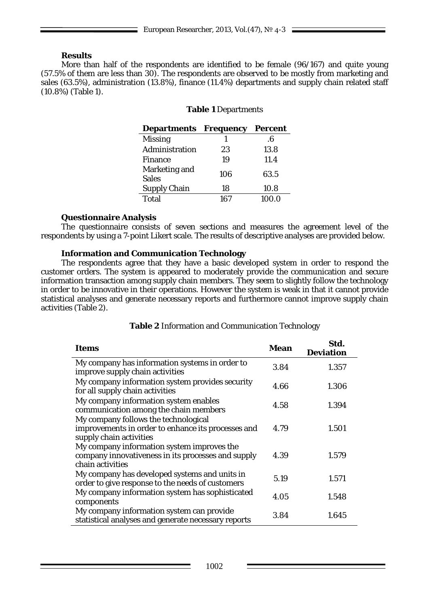## **Results**

More than half of the respondents are identified to be female (96/167) and quite young (57.5% of them are less than 30). The respondents are observed to be mostly from marketing and sales (63.5%), administration (13.8%), finance (11.4%) departments and supply chain related staff (10.8%) (Table 1).

## **Table 1** Departments

| <b>Departments Frequency</b>  |     | <b>Percent</b> |
|-------------------------------|-----|----------------|
| <b>Missing</b>                |     | .6             |
| Administration                | 23  | 13.8           |
| <b>Finance</b>                | 19  | 11.4           |
| Marketing and<br><b>Sales</b> | 106 | 63.5           |
| <b>Supply Chain</b>           | 18  | 10.8           |
| <b>Total</b>                  | 167 | 100.0          |

## **Questionnaire Analysis**

The questionnaire consists of seven sections and measures the agreement level of the respondents by using a 7-point Likert scale. The results of descriptive analyses are provided below.

## **Information and Communication Technology**

The respondents agree that they have a basic developed system in order to respond the customer orders. The system is appeared to moderately provide the communication and secure information transaction among supply chain members. They seem to slightly follow the technology in order to be innovative in their operations. However the system is weak in that it cannot provide statistical analyses and generate necessary reports and furthermore cannot improve supply chain activities (Table 2).

| <b>Items</b>                                                                                                          | Mean | Std.<br><b>Deviation</b> |
|-----------------------------------------------------------------------------------------------------------------------|------|--------------------------|
| My company has information systems in order to<br>improve supply chain activities                                     | 3.84 | 1.357                    |
| My company information system provides security<br>for all supply chain activities                                    | 4.66 | 1.306                    |
| My company information system enables<br>communication among the chain members                                        | 4.58 | 1.394                    |
| My company follows the technological<br>improvements in order to enhance its processes and<br>supply chain activities | 4.79 | 1.501                    |
| My company information system improves the<br>company innovativeness in its processes and supply<br>chain activities  | 4.39 | 1.579                    |
| My company has developed systems and units in<br>order to give response to the needs of customers                     | 5.19 | 1.571                    |
| My company information system has sophisticated<br>4.05<br>components                                                 |      | 1.548                    |
| My company information system can provide<br>statistical analyses and generate necessary reports                      | 3.84 | 1.645                    |

## **Table 2** Information and Communication Technology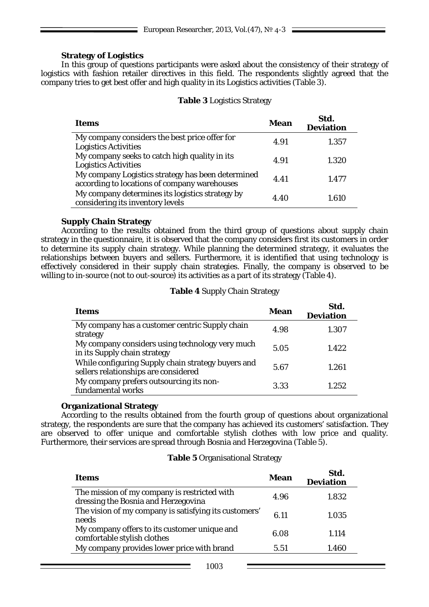## **Strategy of Logistics**

In this group of questions participants were asked about the consistency of their strategy of logistics with fashion retailer directives in this field. The respondents slightly agreed that the company tries to get best offer and high quality in its Logistics activities (Table 3).

## **Table 3** Logistics Strategy

| <b>Items</b>                                                                                      | Mean | Std.<br><b>Deviation</b> |  |  |  |
|---------------------------------------------------------------------------------------------------|------|--------------------------|--|--|--|
| My company considers the best price offer for<br><b>Logistics Activities</b>                      | 4.91 | 1.357                    |  |  |  |
| My company seeks to catch high quality in its<br><b>Logistics Activities</b>                      | 4.91 | 1.320                    |  |  |  |
| My company Logistics strategy has been determined<br>according to locations of company warehouses | 4.41 | 1.477                    |  |  |  |
| My company determines its logistics strategy by<br>considering its inventory levels               | 4.40 | 1.610                    |  |  |  |

## **Supply Chain Strategy**

According to the results obtained from the third group of questions about supply chain strategy in the questionnaire, it is observed that the company considers first its customers in order to determine its supply chain strategy. While planning the determined strategy, it evaluates the relationships between buyers and sellers. Furthermore, it is identified that using technology is effectively considered in their supply chain strategies. Finally, the company is observed to be willing to in-source (not to out-source) its activities as a part of its strategy (Table 4).

## **Table 4** Supply Chain Strategy

| Items                                                                                      | Mean | Std.<br><b>Deviation</b> |  |  |  |
|--------------------------------------------------------------------------------------------|------|--------------------------|--|--|--|
| My company has a customer centric Supply chain<br>strategy                                 | 4.98 | 1.307                    |  |  |  |
| My company considers using technology very much<br>in its Supply chain strategy            | 5.05 | 1.422                    |  |  |  |
| While configuring Supply chain strategy buyers and<br>sellers relationships are considered | 5.67 | 1.261                    |  |  |  |
| My company prefers outsourcing its non-<br>fundamental works                               | 3.33 | 1.252                    |  |  |  |

## **Organizational Strategy**

According to the results obtained from the fourth group of questions about organizational strategy, the respondents are sure that the company has achieved its customers' satisfaction. They are observed to offer unique and comfortable stylish clothes with low price and quality. Furthermore, their services are spread through Bosnia and Herzegovina (Table 5).

#### **Table 5** Organisational Strategy

| Items                                                                               | Mean | Std.<br><b>Deviation</b> |
|-------------------------------------------------------------------------------------|------|--------------------------|
| The mission of my company is restricted with<br>dressing the Bosnia and Herzegovina | 4.96 | 1.832                    |
| The vision of my company is satisfying its customers'<br>needs                      |      | 1.035                    |
| My company offers to its customer unique and<br>comfortable stylish clothes         | 6.08 | 1.114                    |
| My company provides lower price with brand                                          | 5.51 | 1.460                    |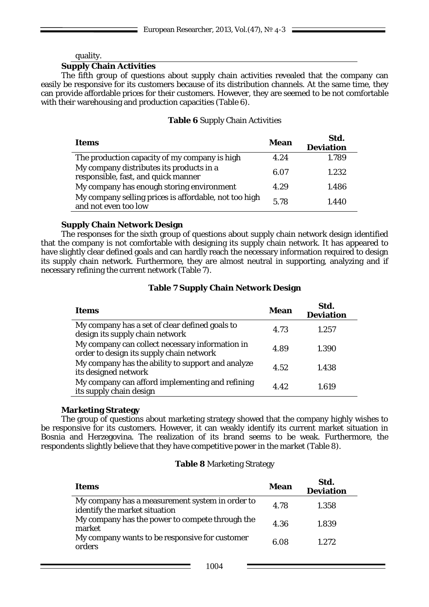## quality.

### **Supply Chain Activities**

The fifth group of questions about supply chain activities revealed that the company can easily be responsive for its customers because of its distribution channels. At the same time, they can provide affordable prices for their customers. However, they are seemed to be not comfortable with their warehousing and production capacities (Table 6).

### **Table 6** Supply Chain Activities

| Items                                                                           |      | Std.<br><b>Deviation</b> |
|---------------------------------------------------------------------------------|------|--------------------------|
| The production capacity of my company is high                                   | 4.24 | 1.789                    |
| My company distributes its products in a<br>responsible, fast, and quick manner | 6.07 | 1.232                    |
| My company has enough storing environment                                       | 4.29 | 1.486                    |
| My company selling prices is affordable, not too high<br>and not even too low   | 5.78 | 1.440                    |

### **Supply Chain Network Design**

The responses for the sixth group of questions about supply chain network design identified that the company is not comfortable with designing its supply chain network. It has appeared to have slightly clear defined goals and can hardly reach the necessary information required to design its supply chain network. Furthermore, they are almost neutral in supporting, analyzing and if necessary refining the current network (Table 7).

## **Table 7 Supply Chain Network Design**

| <b>Items</b>                                                                                | Mean | Std.<br><b>Deviation</b> |
|---------------------------------------------------------------------------------------------|------|--------------------------|
| My company has a set of clear defined goals to<br>design its supply chain network           | 4.73 | 1.257                    |
| My company can collect necessary information in<br>order to design its supply chain network | 4.89 | 1.390                    |
| My company has the ability to support and analyze<br>its designed network                   | 4.52 | 1.438                    |
| My company can afford implementing and refining<br>its supply chain design                  | 4.42 | 1.619                    |

## **Marketing Strategy**

The group of questions about marketing strategy showed that the company highly wishes to be responsive for its customers. However, it can weakly identify its current market situation in Bosnia and Herzegovina. The realization of its brand seems to be weak. Furthermore, the respondents slightly believe that they have competitive power in the market (Table 8).

#### **Table 8** Marketing Strategy

| Items                                                                            | Mean | Std.<br><b>Deviation</b> |  |  |  |
|----------------------------------------------------------------------------------|------|--------------------------|--|--|--|
| My company has a measurement system in order to<br>identify the market situation | 4.78 | 1.358                    |  |  |  |
| My company has the power to compete through the<br>market                        | 4.36 | 1.839                    |  |  |  |
| My company wants to be responsive for customer<br>orders                         | 6.08 | 1.2.72                   |  |  |  |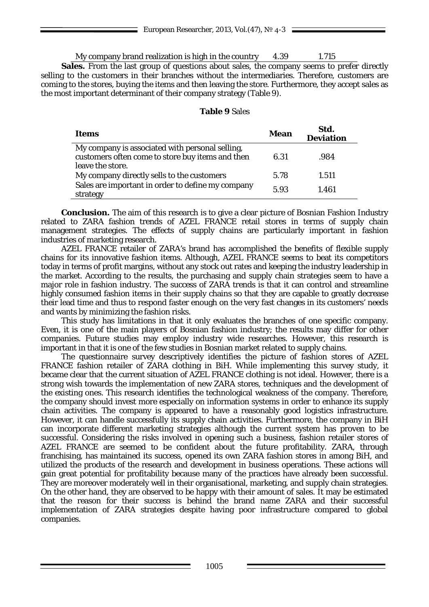|  | My company brand realization is high in the country | 4.39 | 1.715 |
|--|-----------------------------------------------------|------|-------|
|  |                                                     |      |       |

Sales. From the last group of questions about sales, the company seems to prefer directly selling to the customers in their branches without the intermediaries. Therefore, customers are coming to the stores, buying the items and then leaving the store. Furthermore, they accept sales as the most important determinant of their company strategy (Table 9).

## **Table 9** Sales

| Items                                                                                               | Mean | Std.<br><b>Deviation</b> |
|-----------------------------------------------------------------------------------------------------|------|--------------------------|
| My company is associated with personal selling,<br>customers often come to store buy items and then | 6.31 | .984                     |
| leave the store.                                                                                    |      |                          |
| My company directly sells to the customers                                                          | 5.78 | 1.511                    |
| Sales are important in order to define my company<br>strategy                                       | 5.93 | 1.461                    |

**Conclusion.** The aim of this research is to give a clear picture of Bosnian Fashion Industry related to ZARA fashion trends of AZEL FRANCE retail stores in terms of supply chain management strategies. The effects of supply chains are particularly important in fashion industries of marketing research.

AZEL FRANCE retailer of ZARA's brand has accomplished the benefits of flexible supply chains for its innovative fashion items. Although, AZEL FRANCE seems to beat its competitors today in terms of profit margins, without any stock out rates and keeping the industry leadership in the market. According to the results, the purchasing and supply chain strategies seem to have a major role in fashion industry. The success of ZARA trends is that it can control and streamline highly consumed fashion items in their supply chains so that they are capable to greatly decrease their lead time and thus to respond faster enough on the very fast changes in its customers' needs and wants by minimizing the fashion risks.

This study has limitations in that it only evaluates the branches of one specific company. Even, it is one of the main players of Bosnian fashion industry; the results may differ for other companies. Future studies may employ industry wide researches. However, this research is important in that it is one of the few studies in Bosnian market related to supply chains.

The questionnaire survey descriptively identifies the picture of fashion stores of AZEL FRANCE fashion retailer of ZARA clothing in BiH. While implementing this survey study, it became clear that the current situation of AZEL FRANCE clothing is not ideal. However, there is a strong wish towards the implementation of new ZARA stores, techniques and the development of the existing ones. This research identifies the technological weakness of the company. Therefore, the company should invest more especially on information systems in order to enhance its supply chain activities. The company is appeared to have a reasonably good logistics infrastructure. However, it can handle successfully its supply chain activities. Furthermore, the company in BiH can incorporate different marketing strategies although the current system has proven to be successful. Considering the risks involved in opening such a business, fashion retailer stores of AZEL FRANCE are seemed to be confident about the future profitability. ZARA, through franchising, has maintained its success, opened its own ZARA fashion stores in among BiH, and utilized the products of the research and development in business operations. These actions will gain great potential for profitability because many of the practices have already been successful. They are moreover moderately well in their organisational, marketing, and supply chain strategies. On the other hand, they are observed to be happy with their amount of sales. It may be estimated that the reason for their success is behind the brand name ZARA and their successful implementation of ZARA strategies despite having poor infrastructure compared to global companies.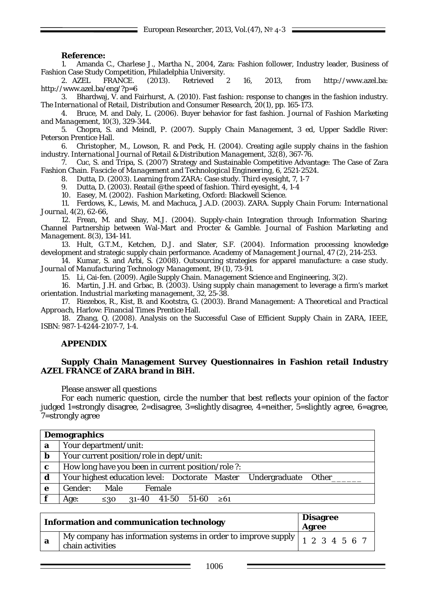### **Reference:**

1. Amanda C., Charlese J., Martha N., 2004, Zara: Fashion follower, Industry leader, Business of Fashion Case Study Competition, Philadelphia University.

2. *AZEL FRANCE*. (2013). Retrieved 2 16, 2013, from http://www.azel.ba: http://www.azel.ba/eng/?p=6

*3.* Bhardwaj, V. and Fairhurst, A. (2010). Fast fashion: response to changes in the fashion industry. *The International of Retail, Distribution and Consumer Research, 20(1), pp. 165-173.*

4. Bruce, M. and Daly, L. (2006). Buyer behavior for fast fashion. *Journal of Fashion Marketing and Management*, 10(3), 329-344.

5. Chopra, S. and Meindl, P. (2007). *Supply Chain Management, 3 ed*, Upper Saddle River: Peterson Prentice Hall.

6. Christopher, M., Lowson, R. and Peck, H. (2004). Creating agile supply chains in the fashion industry. *International Journal of Retail & Distribution Management*, 32(8), 367-76.

7. Cuc, S. and Tripa, S. (2007) Strategy and Sustainable Competitive Advantage: The Case of Zara Fashion Chain. *Fascicle of Management and Technological Engineering*, 6, 2521-2524.

8. Dutta, D. (2003). Learning from ZARA: Case study. *Third eyesight, 7, 1-7*

9. Dutta, D. (2003). Reatail @the speed of fashion. *Third eyesight*, *4, 1-4*

10. Easey, M. (2002). *Fashion Marketing*, Oxford: Blackwell Science.

11. Ferdows, K., Lewis, M. and Machuca, J.A.D. (2003). ZARA. *Supply Chain Forum: International Journal*, 4(2), 62-66,

*12.* Frean, M. and Shay, M.J. (2004). Supply-chain Integration through Information Sharing: Channel Partnership between Wal-Mart and Procter & Gamble. *Journal of Fashion Marketing and Management.* 8(3), 134-141*.*

13. Hult, G.T.M., Ketchen, D.J. and Slater, S.F. (2004). Information processing knowledge development and strategic supply chain performance*. Academy of Management Journal*, 47 (2), 214-253.

14. Kumar, S. and Arbi, S. (2008). Outsourcing strategies for apparel manufacture: a case study*. Journal of Manufacturing Technology Management*, 19 (1), 73-91.

15. Li, Cai-fen. (2009). Agile Supply Chain. *Management Science and Engineering*, 3(2).

16. Martin, J.H. and Grbac, B. (2003). Using supply chain management to leverage a firm's market orientation. *Industrial marketing management*, 32, 25-38.

17. Riezebos, R., Kist, B. and Kootstra, G. (2003). *Brand Management: A Theoretical and Practical Approach*, Harlow: Financial Times Prentice Hall.

18. Zhang, Q. (2008). Analysis on the Successful Case of Efficient Supply Chain in ZARA, *IEEE*, ISBN: 987-1-4244-2107-7, 1-4.

## **APPENDIX**

#### **Supply Chain Management Survey Questionnaires in Fashion retail Industry AZEL FRANCE of ZARA brand in BiH.**

Please answer all questions

For each numeric question, circle the number that best reflects your opinion of the factor judged 1=strongly disagree, 2=disagree, 3=slightly disagree, 4=neither, 5=slightly agree, 6=agree, 7=strongly agree

|             | <b>Demographics</b>                                                |
|-------------|--------------------------------------------------------------------|
| a           | Your department/unit:                                              |
| $\mathbf b$ | Your current position/role in dept/unit:                           |
| $\mathbf c$ | How long have you been in current position/role ?:                 |
| d           | Your highest education level: Doctorate Master Undergraduate Other |
| e           | Gender: Male<br>Female                                             |
|             | $31-40$ 41-50 51-60 $\geq 61$<br>Age:<br>$\leq 30$                 |

| <b>Information and communication technology</b> |                                                                                                                                                                           | <b>Disagree</b><br>Agree |  |  |  |  |  |  |
|-------------------------------------------------|---------------------------------------------------------------------------------------------------------------------------------------------------------------------------|--------------------------|--|--|--|--|--|--|
| - a                                             | $\overline{M}$ My company has information systems in order to improve supply $\left  \begin{array}{cc} 1 & 2 & 3 & 4 & 5 & 6 & 7 \end{array} \right $<br>chain activities |                          |  |  |  |  |  |  |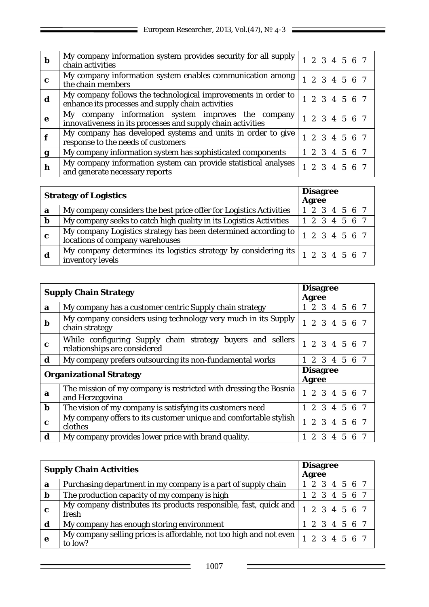| b | My company information system provides security for all supply $\begin{vmatrix} 1 & 2 & 3 & 4 & 5 & 6 & 7 \end{vmatrix}$<br>chain activities |  |               |  |  |
|---|----------------------------------------------------------------------------------------------------------------------------------------------|--|---------------|--|--|
| c | My company information system enables communication among<br>the chain members                                                               |  | 1 2 3 4 5 6 7 |  |  |
| d | My company follows the technological improvements in order to<br>enhance its processes and supply chain activities                           |  | 1 2 3 4 5 6 7 |  |  |
| e | My company information system improves the<br>company<br>innovativeness in its processes and supply chain activities                         |  | 1 2 3 4 5 6 7 |  |  |
|   | My company has developed systems and units in order to give<br>response to the needs of customers                                            |  | 1 2 3 4 5 6 7 |  |  |
| g | My company information system has sophisticated components                                                                                   |  | 1 2 3 4 5 6 7 |  |  |
| h | My company information system can provide statistical analyses<br>and generate necessary reports                                             |  | 1 2 3 4 5 6 7 |  |  |

|             | <b>Strategy of Logistics</b>                                                                        |  | <b>Disagree</b><br>Agree |  |  |  |
|-------------|-----------------------------------------------------------------------------------------------------|--|--------------------------|--|--|--|
| a           | My company considers the best price offer for Logistics Activities                                  |  | 1 2 3 4 5 6 7            |  |  |  |
| $\mathbf b$ | My company seeks to catch high quality in its Logistics Activities                                  |  | 1 2 3 4 5 6 7            |  |  |  |
| c           | My company Logistics strategy has been determined according to  <br>locations of company warehouses |  | 1234567                  |  |  |  |
|             | inventory levels                                                                                    |  |                          |  |  |  |

|                                | <b>Supply Chain Strategy</b>                                                               |  | <b>Agree</b>                    |   | <b>Disagree</b> |              |   |  |  |
|--------------------------------|--------------------------------------------------------------------------------------------|--|---------------------------------|---|-----------------|--------------|---|--|--|
| a                              | My company has a customer centric Supply chain strategy                                    |  |                                 |   | 1 2 3 4 5 6 7   |              |   |  |  |
| b                              | My company considers using technology very much in its Supply<br>chain strategy            |  |                                 |   | 1 2 3 4 5 6 7   |              |   |  |  |
| $\mathbf c$                    | While configuring Supply chain strategy buyers and sellers<br>relationships are considered |  |                                 |   | 1 2 3 4 5 6 7   |              |   |  |  |
| d                              | My company prefers outsourcing its non-fundamental works                                   |  |                                 |   | 2 3 4 5 6 7     |              |   |  |  |
| <b>Organizational Strategy</b> |                                                                                            |  | <b>Disagree</b><br><b>Agree</b> |   |                 |              |   |  |  |
| a                              | The mission of my company is restricted with dressing the Bosnia<br>and Herzegovina        |  |                                 |   | 1 2 3 4 5 6 7   |              |   |  |  |
| $\mathbf b$                    | The vision of my company is satisfying its customers need                                  |  |                                 |   | 2 3 4 5 6 7     |              |   |  |  |
| $\mathbf c$                    | My company offers to its customer unique and comfortable stylish<br>clothes                |  |                                 |   | 1 2 3 4 5 6 7   |              |   |  |  |
| d                              | My company provides lower price with brand quality.                                        |  | $\overline{2}$                  | 3 | 4               | $\mathbf{5}$ | 6 |  |  |

| <b>Supply Chain Activities</b> |                                                                               | <b>Disagree</b><br><b>Agree</b> |
|--------------------------------|-------------------------------------------------------------------------------|---------------------------------|
| a                              | Purchasing department in my company is a part of supply chain                 | 1 2 3 4 5 6 7                   |
| $\mathbf b$                    | The production capacity of my company is high                                 | 1 2 3 4 5 6 7                   |
| c                              | My company distributes its products responsible, fast, quick and<br>fresh     | 1 2 3 4 5 6 7                   |
| d                              | My company has enough storing environment                                     | 1 2 3 4 5 6 7                   |
| e                              | My company selling prices is affordable, not too high and not even<br>to low? | 1 2 3 4 5 6 7                   |